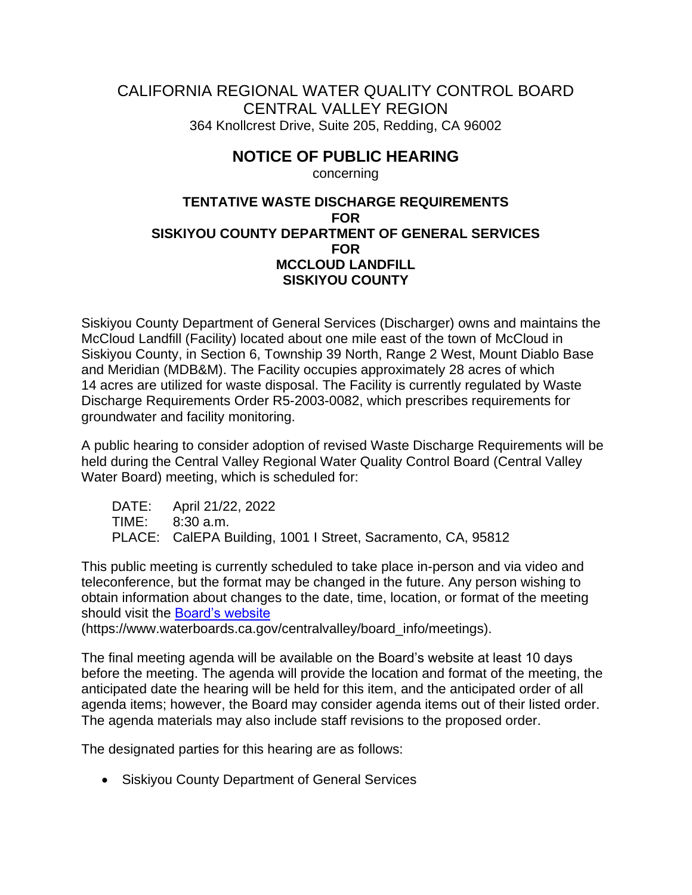## CALIFORNIA REGIONAL WATER QUALITY CONTROL BOARD CENTRAL VALLEY REGION 364 Knollcrest Drive, Suite 205, Redding, CA 96002

## **NOTICE OF PUBLIC HEARING**

concerning

## **TENTATIVE WASTE DISCHARGE REQUIREMENTS FOR SISKIYOU COUNTY DEPARTMENT OF GENERAL SERVICES FOR MCCLOUD LANDFILL SISKIYOU COUNTY**

Siskiyou County Department of General Services (Discharger) owns and maintains the McCloud Landfill (Facility) located about one mile east of the town of McCloud in Siskiyou County, in Section 6, Township 39 North, Range 2 West, Mount Diablo Base and Meridian (MDB&M). The Facility occupies approximately 28 acres of which 14 acres are utilized for waste disposal. The Facility is currently regulated by Waste Discharge Requirements Order R5-2003-0082, which prescribes requirements for groundwater and facility monitoring.

A public hearing to consider adoption of revised Waste Discharge Requirements will be held during the Central Valley Regional Water Quality Control Board (Central Valley Water Board) meeting, which is scheduled for:

DATE: April 21/22, 2022 TIME: 8:30 a.m. PLACE: CalEPA Building, 1001 I Street, Sacramento, CA, 95812

This public meeting is currently scheduled to take place in-person and via video and teleconference, but the format may be changed in the future. Any person wishing to obtain information about changes to the date, time, location, or format of the meeting should visit the [Board's website](https://www.waterboards.ca.gov/centralvalley/board_info/meetings)

(https://www.waterboards.ca.gov/centralvalley/board\_info/meetings).

The final meeting agenda will be available on the Board's website at least 10 days before the meeting. The agenda will provide the location and format of the meeting, the anticipated date the hearing will be held for this item, and the anticipated order of all agenda items; however, the Board may consider agenda items out of their listed order. The agenda materials may also include staff revisions to the proposed order.

The designated parties for this hearing are as follows:

• Siskiyou County Department of General Services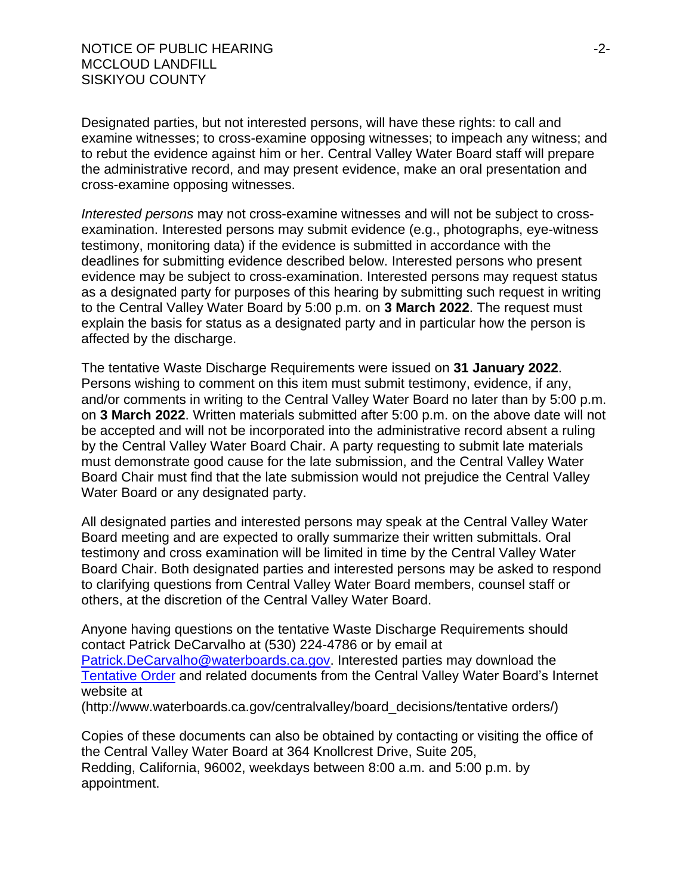NOTICE OF PUBLIC HEARING -2- MCCLOUD LANDFILL SISKIYOU COUNTY

Designated parties, but not interested persons, will have these rights: to call and examine witnesses; to cross-examine opposing witnesses; to impeach any witness; and to rebut the evidence against him or her. Central Valley Water Board staff will prepare the administrative record, and may present evidence, make an oral presentation and cross-examine opposing witnesses.

*Interested persons* may not cross-examine witnesses and will not be subject to crossexamination. Interested persons may submit evidence (e.g., photographs, eye-witness testimony, monitoring data) if the evidence is submitted in accordance with the deadlines for submitting evidence described below. Interested persons who present evidence may be subject to cross-examination. Interested persons may request status as a designated party for purposes of this hearing by submitting such request in writing to the Central Valley Water Board by 5:00 p.m. on **3 March 2022**. The request must explain the basis for status as a designated party and in particular how the person is affected by the discharge.

The tentative Waste Discharge Requirements were issued on **31 January 2022**. Persons wishing to comment on this item must submit testimony, evidence, if any, and/or comments in writing to the Central Valley Water Board no later than by 5:00 p.m. on **3 March 2022**. Written materials submitted after 5:00 p.m. on the above date will not be accepted and will not be incorporated into the administrative record absent a ruling by the Central Valley Water Board Chair. A party requesting to submit late materials must demonstrate good cause for the late submission, and the Central Valley Water Board Chair must find that the late submission would not prejudice the Central Valley Water Board or any designated party.

All designated parties and interested persons may speak at the Central Valley Water Board meeting and are expected to orally summarize their written submittals. Oral testimony and cross examination will be limited in time by the Central Valley Water Board Chair. Both designated parties and interested persons may be asked to respond to clarifying questions from Central Valley Water Board members, counsel staff or others, at the discretion of the Central Valley Water Board.

Anyone having questions on the tentative Waste Discharge Requirements should contact Patrick DeCarvalho at (530) 224-4786 or by email at [Patrick.DeCarvalho@waterboards.ca.gov.](mailto:Patrick.DeCarvalho@waterboards.ca.gov) Interested parties may download the [Tentative](http://www.waterboards.ca.gov/centralvalley/board_decisions/tentative%20orders/) Order and related documents from the Central Valley Water Board's Internet website at

(http://www.waterboards.ca.gov/centralvalley/board\_decisions/tentative orders/)

Copies of these documents can also be obtained by contacting or visiting the office of the Central Valley Water Board at 364 Knollcrest Drive, Suite 205, Redding, California, 96002, weekdays between 8:00 a.m. and 5:00 p.m. by appointment.